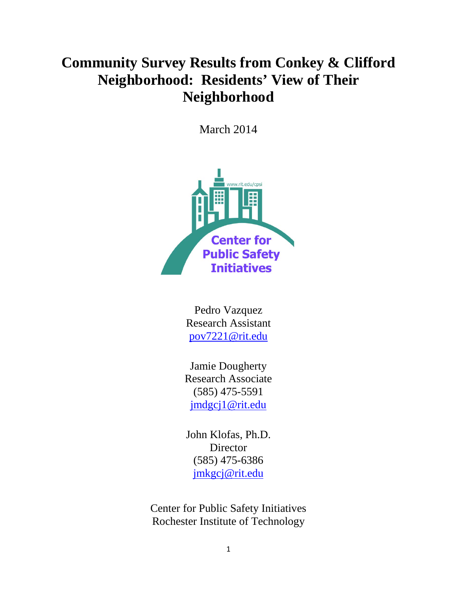# **Community Survey Results from Conkey & Clifford Neighborhood: Residents' View of Their Neighborhood**

March 2014



Pedro Vazquez Research Assistant [pov7221@rit.edu](mailto:pov7221@rit.edu)

Jamie Dougherty Research Associate (585) 475-5591 [jmdgcj1@rit.edu](mailto:jmdgcj1@rit.edu)

John Klofas, Ph.D. Director (585) 475-6386 [jmkgcj@rit.edu](mailto:jmkgcj@rit.edu)

Center for Public Safety Initiatives Rochester Institute of Technology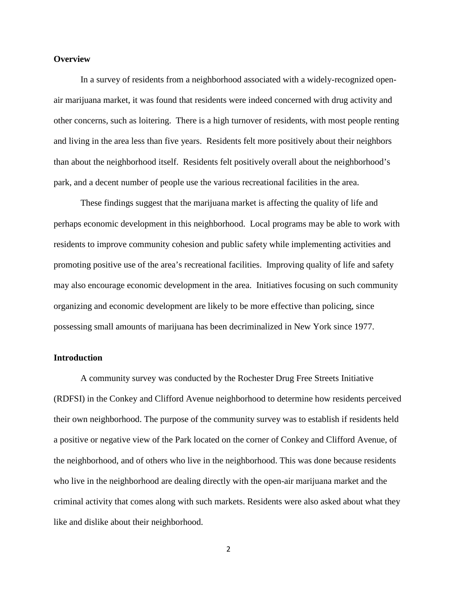#### **Overview**

In a survey of residents from a neighborhood associated with a widely-recognized openair marijuana market, it was found that residents were indeed concerned with drug activity and other concerns, such as loitering. There is a high turnover of residents, with most people renting and living in the area less than five years. Residents felt more positively about their neighbors than about the neighborhood itself. Residents felt positively overall about the neighborhood's park, and a decent number of people use the various recreational facilities in the area.

These findings suggest that the marijuana market is affecting the quality of life and perhaps economic development in this neighborhood. Local programs may be able to work with residents to improve community cohesion and public safety while implementing activities and promoting positive use of the area's recreational facilities. Improving quality of life and safety may also encourage economic development in the area. Initiatives focusing on such community organizing and economic development are likely to be more effective than policing, since possessing small amounts of marijuana has been decriminalized in New York since 1977.

#### **Introduction**

A community survey was conducted by the Rochester Drug Free Streets Initiative (RDFSI) in the Conkey and Clifford Avenue neighborhood to determine how residents perceived their own neighborhood. The purpose of the community survey was to establish if residents held a positive or negative view of the Park located on the corner of Conkey and Clifford Avenue, of the neighborhood, and of others who live in the neighborhood. This was done because residents who live in the neighborhood are dealing directly with the open-air marijuana market and the criminal activity that comes along with such markets. Residents were also asked about what they like and dislike about their neighborhood.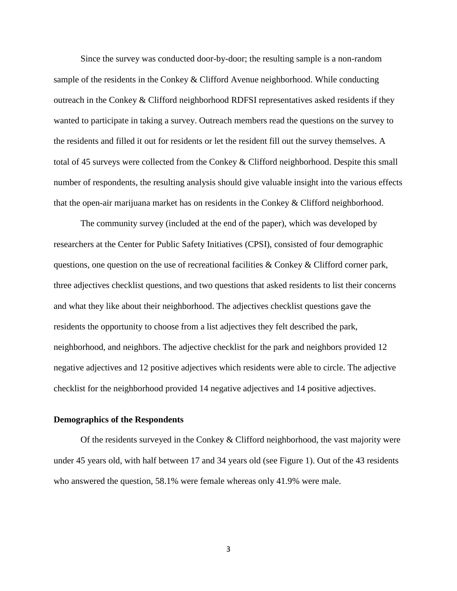Since the survey was conducted door-by-door; the resulting sample is a non-random sample of the residents in the Conkey & Clifford Avenue neighborhood. While conducting outreach in the Conkey & Clifford neighborhood RDFSI representatives asked residents if they wanted to participate in taking a survey. Outreach members read the questions on the survey to the residents and filled it out for residents or let the resident fill out the survey themselves. A total of 45 surveys were collected from the Conkey & Clifford neighborhood. Despite this small number of respondents, the resulting analysis should give valuable insight into the various effects that the open-air marijuana market has on residents in the Conkey & Clifford neighborhood.

The community survey (included at the end of the paper), which was developed by researchers at the Center for Public Safety Initiatives (CPSI), consisted of four demographic questions, one question on the use of recreational facilities & Conkey & Clifford corner park, three adjectives checklist questions, and two questions that asked residents to list their concerns and what they like about their neighborhood. The adjectives checklist questions gave the residents the opportunity to choose from a list adjectives they felt described the park, neighborhood, and neighbors. The adjective checklist for the park and neighbors provided 12 negative adjectives and 12 positive adjectives which residents were able to circle. The adjective checklist for the neighborhood provided 14 negative adjectives and 14 positive adjectives.

#### **Demographics of the Respondents**

Of the residents surveyed in the Conkey & Clifford neighborhood, the vast majority were under 45 years old, with half between 17 and 34 years old (see Figure 1). Out of the 43 residents who answered the question, 58.1% were female whereas only 41.9% were male.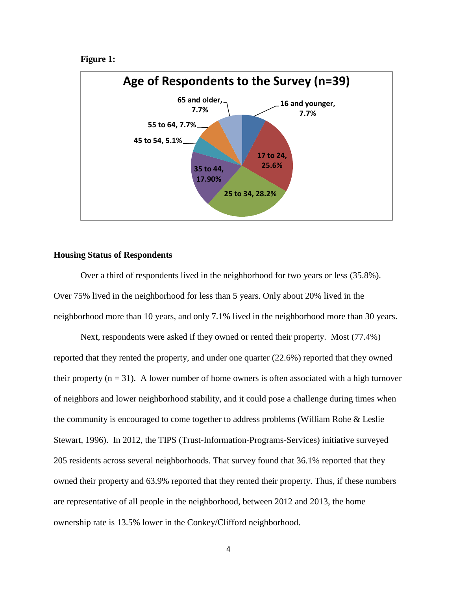```
Figure 1:
```


### **Housing Status of Respondents**

Over a third of respondents lived in the neighborhood for two years or less (35.8%). Over 75% lived in the neighborhood for less than 5 years. Only about 20% lived in the neighborhood more than 10 years, and only 7.1% lived in the neighborhood more than 30 years.

Next, respondents were asked if they owned or rented their property. Most (77.4%) reported that they rented the property, and under one quarter (22.6%) reported that they owned their property  $(n = 31)$ . A lower number of home owners is often associated with a high turnover of neighbors and lower neighborhood stability, and it could pose a challenge during times when the community is encouraged to come together to address problems (William Rohe & Leslie Stewart, 1996). In 2012, the TIPS (Trust-Information-Programs-Services) initiative surveyed 205 residents across several neighborhoods. That survey found that 36.1% reported that they owned their property and 63.9% reported that they rented their property. Thus, if these numbers are representative of all people in the neighborhood, between 2012 and 2013, the home ownership rate is 13.5% lower in the Conkey/Clifford neighborhood.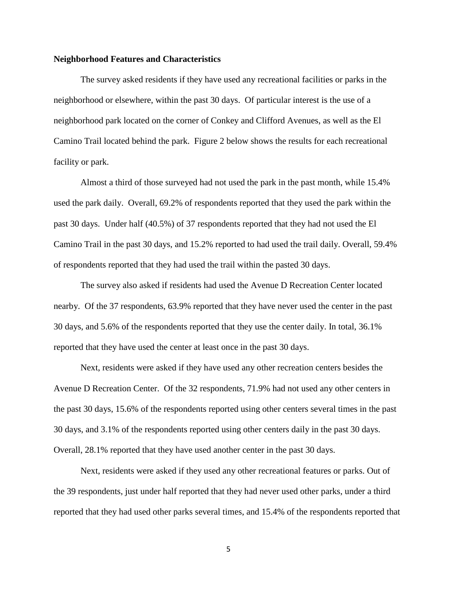#### **Neighborhood Features and Characteristics**

The survey asked residents if they have used any recreational facilities or parks in the neighborhood or elsewhere, within the past 30 days. Of particular interest is the use of a neighborhood park located on the corner of Conkey and Clifford Avenues, as well as the El Camino Trail located behind the park. Figure 2 below shows the results for each recreational facility or park.

Almost a third of those surveyed had not used the park in the past month, while 15.4% used the park daily. Overall, 69.2% of respondents reported that they used the park within the past 30 days. Under half (40.5%) of 37 respondents reported that they had not used the El Camino Trail in the past 30 days, and 15.2% reported to had used the trail daily. Overall, 59.4% of respondents reported that they had used the trail within the pasted 30 days.

The survey also asked if residents had used the Avenue D Recreation Center located nearby. Of the 37 respondents, 63.9% reported that they have never used the center in the past 30 days, and 5.6% of the respondents reported that they use the center daily. In total, 36.1% reported that they have used the center at least once in the past 30 days.

Next, residents were asked if they have used any other recreation centers besides the Avenue D Recreation Center. Of the 32 respondents, 71.9% had not used any other centers in the past 30 days, 15.6% of the respondents reported using other centers several times in the past 30 days, and 3.1% of the respondents reported using other centers daily in the past 30 days. Overall, 28.1% reported that they have used another center in the past 30 days.

Next, residents were asked if they used any other recreational features or parks. Out of the 39 respondents, just under half reported that they had never used other parks, under a third reported that they had used other parks several times, and 15.4% of the respondents reported that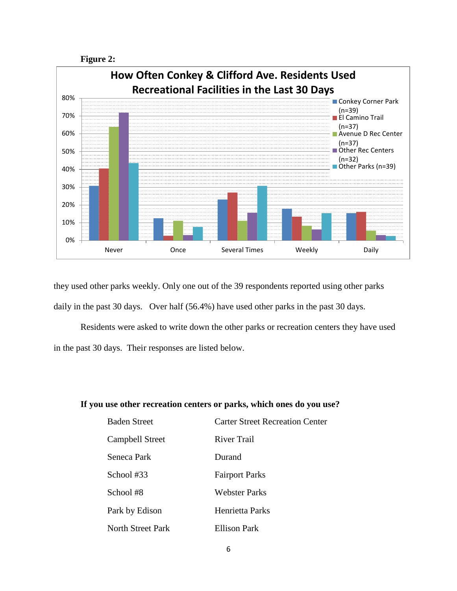



they used other parks weekly. Only one out of the 39 respondents reported using other parks daily in the past 30 days. Over half (56.4%) have used other parks in the past 30 days.

Residents were asked to write down the other parks or recreation centers they have used in the past 30 days. Their responses are listed below.

#### **If you use other recreation centers or parks, which ones do you use?**

| <b>Baden Street</b> | <b>Carter Street Recreation Center</b> |
|---------------------|----------------------------------------|
| Campbell Street     | River Trail                            |
| Seneca Park         | Durand                                 |
| School #33          | <b>Fairport Parks</b>                  |
| School #8           | Webster Parks                          |
| Park by Edison      | Henrietta Parks                        |
| North Street Park   | Ellison Park                           |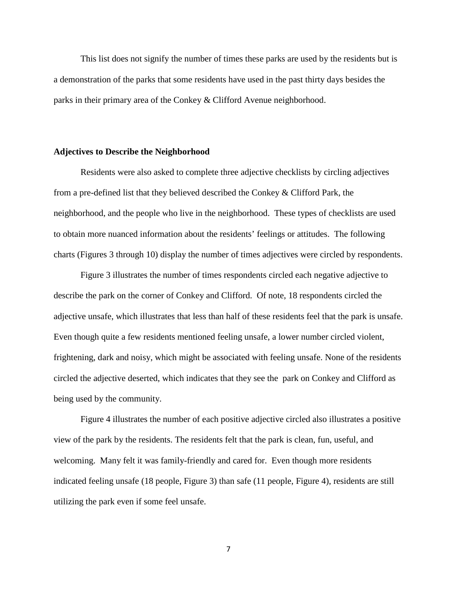This list does not signify the number of times these parks are used by the residents but is a demonstration of the parks that some residents have used in the past thirty days besides the parks in their primary area of the Conkey & Clifford Avenue neighborhood.

#### **Adjectives to Describe the Neighborhood**

Residents were also asked to complete three adjective checklists by circling adjectives from a pre-defined list that they believed described the Conkey & Clifford Park, the neighborhood, and the people who live in the neighborhood. These types of checklists are used to obtain more nuanced information about the residents' feelings or attitudes. The following charts (Figures 3 through 10) display the number of times adjectives were circled by respondents.

Figure 3 illustrates the number of times respondents circled each negative adjective to describe the park on the corner of Conkey and Clifford. Of note, 18 respondents circled the adjective unsafe, which illustrates that less than half of these residents feel that the park is unsafe. Even though quite a few residents mentioned feeling unsafe, a lower number circled violent, frightening, dark and noisy, which might be associated with feeling unsafe. None of the residents circled the adjective deserted, which indicates that they see the park on Conkey and Clifford as being used by the community.

Figure 4 illustrates the number of each positive adjective circled also illustrates a positive view of the park by the residents. The residents felt that the park is clean, fun, useful, and welcoming. Many felt it was family-friendly and cared for. Even though more residents indicated feeling unsafe (18 people, Figure 3) than safe (11 people, Figure 4), residents are still utilizing the park even if some feel unsafe.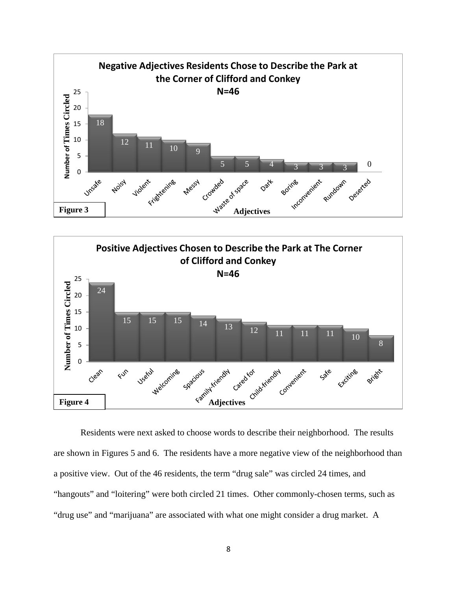



Residents were next asked to choose words to describe their neighborhood. The results are shown in Figures 5 and 6. The residents have a more negative view of the neighborhood than a positive view. Out of the 46 residents, the term "drug sale" was circled 24 times, and "hangouts" and "loitering" were both circled 21 times. Other commonly-chosen terms, such as "drug use" and "marijuana" are associated with what one might consider a drug market. A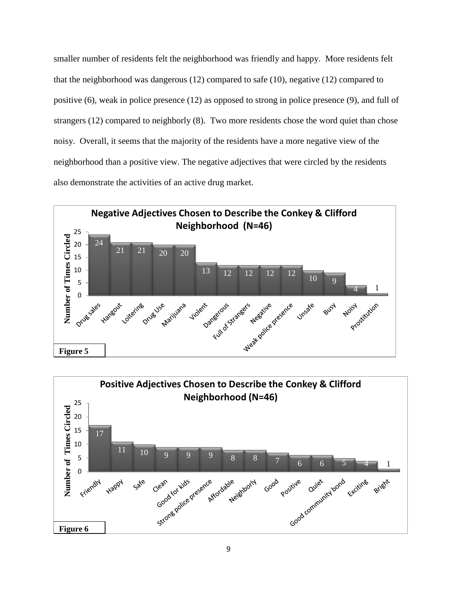smaller number of residents felt the neighborhood was friendly and happy. More residents felt that the neighborhood was dangerous (12) compared to safe (10), negative (12) compared to positive (6), weak in police presence (12) as opposed to strong in police presence (9), and full of strangers (12) compared to neighborly (8). Two more residents chose the word quiet than chose noisy. Overall, it seems that the majority of the residents have a more negative view of the neighborhood than a positive view. The negative adjectives that were circled by the residents also demonstrate the activities of an active drug market.



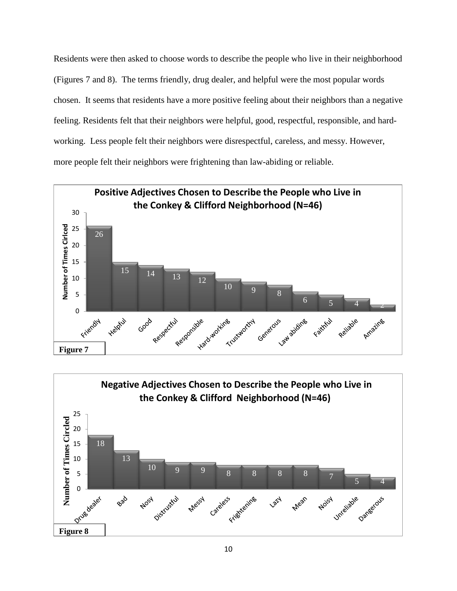Residents were then asked to choose words to describe the people who live in their neighborhood (Figures 7 and 8). The terms friendly, drug dealer, and helpful were the most popular words chosen. It seems that residents have a more positive feeling about their neighbors than a negative feeling. Residents felt that their neighbors were helpful, good, respectful, responsible, and hardworking. Less people felt their neighbors were disrespectful, careless, and messy. However, more people felt their neighbors were frightening than law-abiding or reliable.



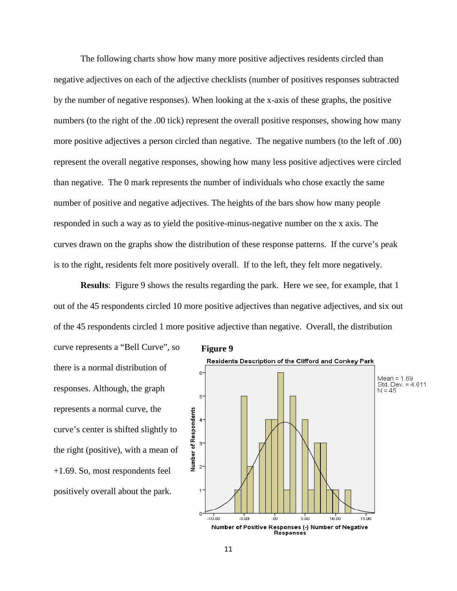The following charts show how many more positive adjectives residents circled than negative adjectives on each of the adjective checklists (number of positives responses subtracted by the number of negative responses). When looking at the x-axis of these graphs, the positive numbers (to the right of the .00 tick) represent the overall positive responses, showing how many more positive adjectives a person circled than negative. The negative numbers (to the left of .00) represent the overall negative responses, showing how many less positive adjectives were circled than negative. The 0 mark represents the number of individuals who chose exactly the same number of positive and negative adjectives. The heights of the bars show how many people responded in such a way as to yield the positive-minus-negative number on the x axis. The curves drawn on the graphs show the distribution of these response patterns. If the curve's peak is to the right, residents felt more positively overall. If to the left, they felt more negatively.

**Results**: Figure 9 shows the results regarding the park. Here we see, for example, that 1 out of the 45 respondents circled 10 more positive adjectives than negative adjectives, and six out of the 45 respondents circled 1 more positive adjective than negative. Overall, the distribution

curve represents a "Bell Curve", so there is a normal distribution of responses. Although, the graph represents a normal curve, the curve's center is shifted slightly to the right (positive), with a mean of +1.69. So, most respondents feel positively overall about the park.

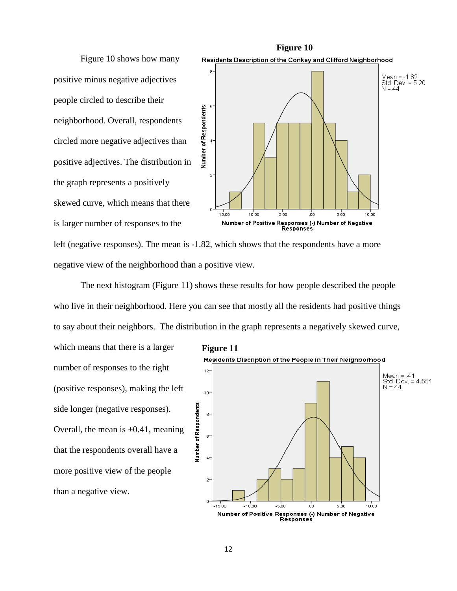Figure 10 shows how many positive minus negative adjectives people circled to describe their neighborhood. Overall, respondents circled more negative adjectives than positive adjectives. The distribution in the graph represents a positively skewed curve, which means that there is larger number of responses to the



left (negative responses). The mean is -1.82, which shows that the respondents have a more negative view of the neighborhood than a positive view.

The next histogram (Figure 11) shows these results for how people described the people who live in their neighborhood. Here you can see that mostly all the residents had positive things to say about their neighbors. The distribution in the graph represents a negatively skewed curve,

which means that there is a larger number of responses to the right (positive responses), making the left side longer (negative responses). Overall, the mean is  $+0.41$ , meaning that the respondents overall have a more positive view of the people than a negative view.

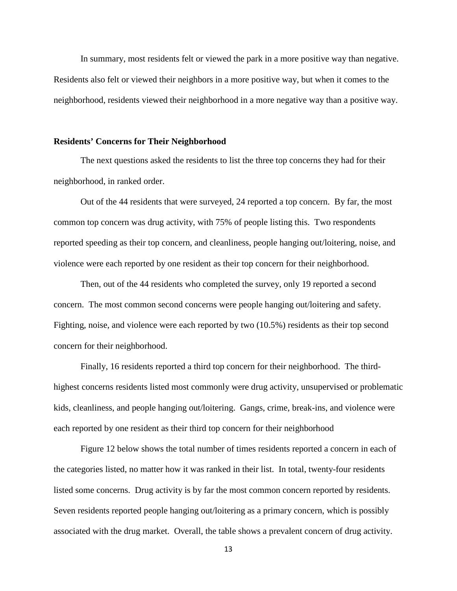In summary, most residents felt or viewed the park in a more positive way than negative. Residents also felt or viewed their neighbors in a more positive way, but when it comes to the neighborhood, residents viewed their neighborhood in a more negative way than a positive way.

#### **Residents' Concerns for Their Neighborhood**

The next questions asked the residents to list the three top concerns they had for their neighborhood, in ranked order.

Out of the 44 residents that were surveyed, 24 reported a top concern. By far, the most common top concern was drug activity, with 75% of people listing this. Two respondents reported speeding as their top concern, and cleanliness, people hanging out/loitering, noise, and violence were each reported by one resident as their top concern for their neighborhood.

Then, out of the 44 residents who completed the survey, only 19 reported a second concern. The most common second concerns were people hanging out/loitering and safety. Fighting, noise, and violence were each reported by two (10.5%) residents as their top second concern for their neighborhood.

Finally, 16 residents reported a third top concern for their neighborhood. The thirdhighest concerns residents listed most commonly were drug activity, unsupervised or problematic kids, cleanliness, and people hanging out/loitering. Gangs, crime, break-ins, and violence were each reported by one resident as their third top concern for their neighborhood

Figure 12 below shows the total number of times residents reported a concern in each of the categories listed, no matter how it was ranked in their list. In total, twenty-four residents listed some concerns. Drug activity is by far the most common concern reported by residents. Seven residents reported people hanging out/loitering as a primary concern, which is possibly associated with the drug market. Overall, the table shows a prevalent concern of drug activity.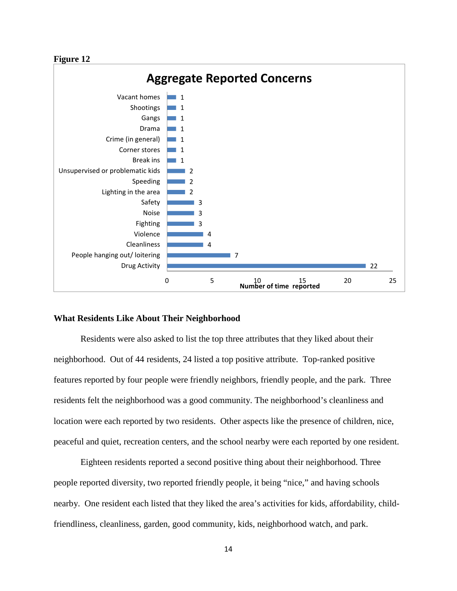#### **Figure 12**



#### **What Residents Like About Their Neighborhood**

Residents were also asked to list the top three attributes that they liked about their neighborhood. Out of 44 residents, 24 listed a top positive attribute. Top-ranked positive features reported by four people were friendly neighbors, friendly people, and the park. Three residents felt the neighborhood was a good community. The neighborhood's cleanliness and location were each reported by two residents. Other aspects like the presence of children, nice, peaceful and quiet, recreation centers, and the school nearby were each reported by one resident.

Eighteen residents reported a second positive thing about their neighborhood. Three people reported diversity, two reported friendly people, it being "nice," and having schools nearby. One resident each listed that they liked the area's activities for kids, affordability, childfriendliness, cleanliness, garden, good community, kids, neighborhood watch, and park.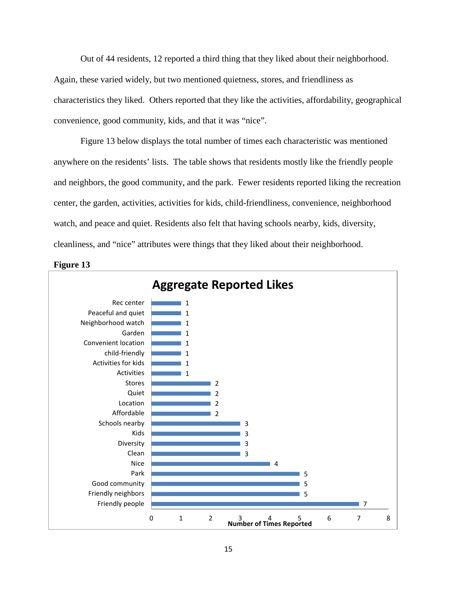Out of 44 residents, 12 reported a third thing that they liked about their neighborhood. Again, these varied widely, but two mentioned quietness, stores, and friendliness as characteristics they liked. Others reported that they like the activities, affordability, geographical convenience, good community, kids, and that it was "nice".

Figure 13 below displays the total number of times each characteristic was mentioned anywhere on the residents' lists. The table shows that residents mostly like the friendly people and neighbors, the good community, and the park. Fewer residents reported liking the recreation center, the garden, activities, activities for kids, child-friendliness, convenience, neighborhood watch, and peace and quiet. Residents also felt that having schools nearby, kids, diversity, cleanliness, and "nice" attributes were things that they liked about their neighborhood.



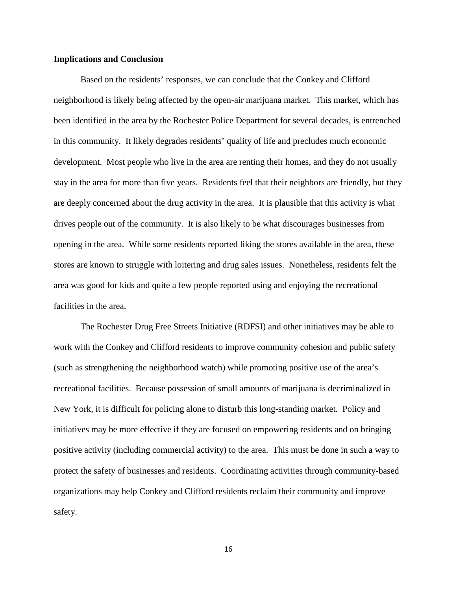#### **Implications and Conclusion**

Based on the residents' responses, we can conclude that the Conkey and Clifford neighborhood is likely being affected by the open-air marijuana market. This market, which has been identified in the area by the Rochester Police Department for several decades, is entrenched in this community. It likely degrades residents' quality of life and precludes much economic development. Most people who live in the area are renting their homes, and they do not usually stay in the area for more than five years. Residents feel that their neighbors are friendly, but they are deeply concerned about the drug activity in the area. It is plausible that this activity is what drives people out of the community. It is also likely to be what discourages businesses from opening in the area. While some residents reported liking the stores available in the area, these stores are known to struggle with loitering and drug sales issues. Nonetheless, residents felt the area was good for kids and quite a few people reported using and enjoying the recreational facilities in the area.

The Rochester Drug Free Streets Initiative (RDFSI) and other initiatives may be able to work with the Conkey and Clifford residents to improve community cohesion and public safety (such as strengthening the neighborhood watch) while promoting positive use of the area's recreational facilities. Because possession of small amounts of marijuana is decriminalized in New York, it is difficult for policing alone to disturb this long-standing market. Policy and initiatives may be more effective if they are focused on empowering residents and on bringing positive activity (including commercial activity) to the area. This must be done in such a way to protect the safety of businesses and residents. Coordinating activities through community-based organizations may help Conkey and Clifford residents reclaim their community and improve safety.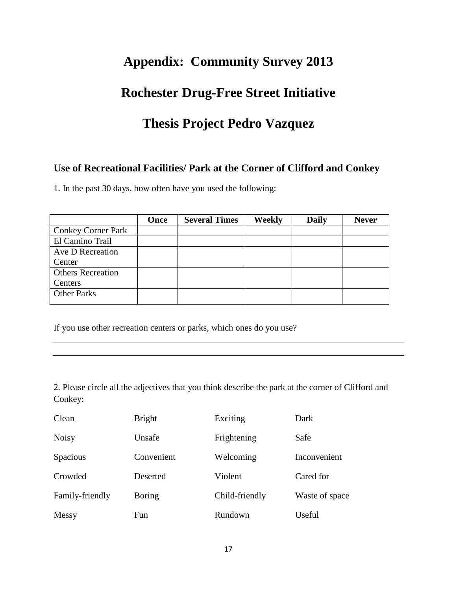# **Appendix: Community Survey 2013**

## **Rochester Drug-Free Street Initiative**

# **Thesis Project Pedro Vazquez**

### **Use of Recreational Facilities/ Park at the Corner of Clifford and Conkey**

1. In the past 30 days, how often have you used the following:

|                           | <b>Once</b> | <b>Several Times</b> | Weekly | <b>Daily</b> | <b>Never</b> |
|---------------------------|-------------|----------------------|--------|--------------|--------------|
| <b>Conkey Corner Park</b> |             |                      |        |              |              |
| El Camino Trail           |             |                      |        |              |              |
| Ave D Recreation          |             |                      |        |              |              |
| Center                    |             |                      |        |              |              |
| <b>Others Recreation</b>  |             |                      |        |              |              |
| Centers                   |             |                      |        |              |              |
| <b>Other Parks</b>        |             |                      |        |              |              |

If you use other recreation centers or parks, which ones do you use?

2. Please circle all the adjectives that you think describe the park at the corner of Clifford and Conkey:

| Clean           | <b>Bright</b> | Exciting       | Dark           |
|-----------------|---------------|----------------|----------------|
| <b>Noisy</b>    | Unsafe        | Frightening    | Safe           |
| Spacious        | Convenient    | Welcoming      | Inconvenient   |
| Crowded         | Deserted      | Violent        | Cared for      |
| Family-friendly | <b>Boring</b> | Child-friendly | Waste of space |
| Messy           | Fun           | Rundown        | Useful         |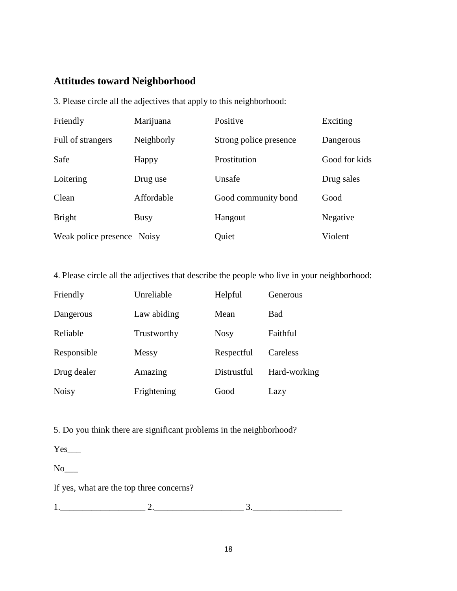### **Attitudes toward Neighborhood**

3. Please circle all the adjectives that apply to this neighborhood:

| Friendly                   | Marijuana   | Positive               | Exciting      |
|----------------------------|-------------|------------------------|---------------|
| Full of strangers          | Neighborly  | Strong police presence | Dangerous     |
| Safe                       | Happy       | Prostitution           | Good for kids |
| Loitering                  | Drug use    | Unsafe                 | Drug sales    |
| Clean                      | Affordable  | Good community bond    | Good          |
| <b>Bright</b>              | <b>Busy</b> | Hangout                | Negative      |
| Weak police presence Noisy |             | Quiet                  | Violent       |

4. Please circle all the adjectives that describe the people who live in your neighborhood:

| Friendly     | Unreliable  | Helpful     | Generous     |
|--------------|-------------|-------------|--------------|
| Dangerous    | Law abiding | Mean        | <b>Bad</b>   |
| Reliable     | Trustworthy | <b>Nosy</b> | Faithful     |
| Responsible  | Messy       | Respectful  | Careless     |
| Drug dealer  | Amazing     | Distrustful | Hard-working |
| <b>Noisy</b> | Frightening | Good        | Lazy         |

5. Do you think there are significant problems in the neighborhood?

 $Yes$ <sub>\_\_\_</sub>

No

If yes, what are the top three concerns?

1.\_\_\_\_\_\_\_\_\_\_\_\_\_\_\_\_\_\_\_ 2.\_\_\_\_\_\_\_\_\_\_\_\_\_\_\_\_\_\_\_\_ 3.\_\_\_\_\_\_\_\_\_\_\_\_\_\_\_\_\_\_\_\_